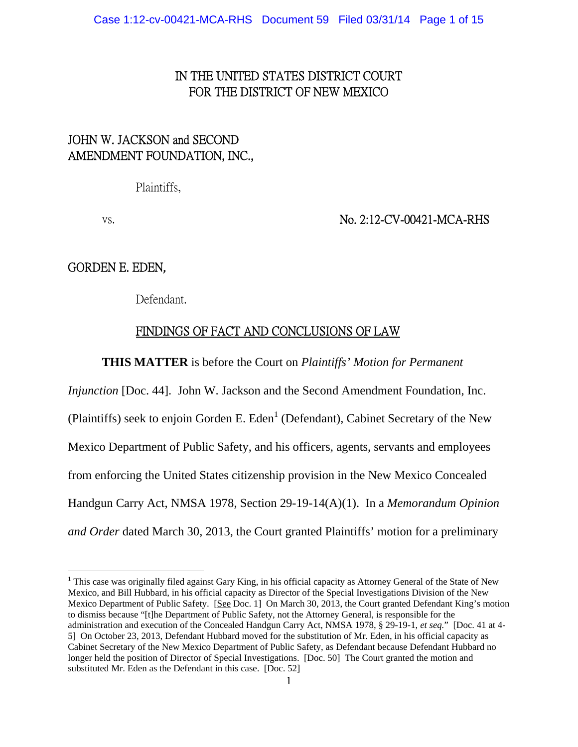# IN THE UNITED STATES DISTRICT COURT FOR THE DISTRICT OF NEW MEXICO

# JOHN W. JACKSON and SECOND AMENDMENT FOUNDATION, INC.,

Plaintiffs,

## vs. No. 2:12-CV-00421-MCA-RHS

GORDEN E. EDEN,

 $\overline{a}$ 

Defendant.

## FINDINGS OF FACT AND CONCLUSIONS OF LAW

**THIS MATTER** is before the Court on *Plaintiffs' Motion for Permanent* 

*Injunction* [Doc. 44]. John W. Jackson and the Second Amendment Foundation, Inc. (Plaintiffs) seek to enjoin Gorden E. Eden<sup>1</sup> (Defendant), Cabinet Secretary of the New Mexico Department of Public Safety, and his officers, agents, servants and employees from enforcing the United States citizenship provision in the New Mexico Concealed Handgun Carry Act, NMSA 1978, Section 29-19-14(A)(1). In a *Memorandum Opinion and Order* dated March 30, 2013, the Court granted Plaintiffs' motion for a preliminary

<sup>&</sup>lt;sup>1</sup> This case was originally filed against Gary King, in his official capacity as Attorney General of the State of New Mexico, and Bill Hubbard, in his official capacity as Director of the Special Investigations Division of the New Mexico Department of Public Safety. [See Doc. 1] On March 30, 2013, the Court granted Defendant King's motion to dismiss because "[t]he Department of Public Safety, not the Attorney General, is responsible for the administration and execution of the Concealed Handgun Carry Act, NMSA 1978, § 29-19-1, *et seq.*" [Doc. 41 at 4- 5] On October 23, 2013, Defendant Hubbard moved for the substitution of Mr. Eden, in his official capacity as Cabinet Secretary of the New Mexico Department of Public Safety, as Defendant because Defendant Hubbard no longer held the position of Director of Special Investigations. [Doc. 50] The Court granted the motion and substituted Mr. Eden as the Defendant in this case. [Doc. 52]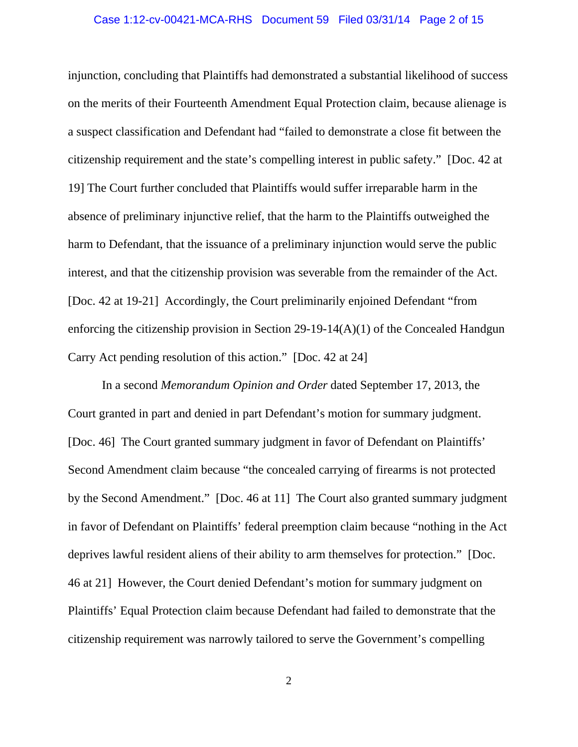## Case 1:12-cv-00421-MCA-RHS Document 59 Filed 03/31/14 Page 2 of 15

injunction, concluding that Plaintiffs had demonstrated a substantial likelihood of success on the merits of their Fourteenth Amendment Equal Protection claim, because alienage is a suspect classification and Defendant had "failed to demonstrate a close fit between the citizenship requirement and the state's compelling interest in public safety." [Doc. 42 at 19] The Court further concluded that Plaintiffs would suffer irreparable harm in the absence of preliminary injunctive relief, that the harm to the Plaintiffs outweighed the harm to Defendant, that the issuance of a preliminary injunction would serve the public interest, and that the citizenship provision was severable from the remainder of the Act. [Doc. 42 at 19-21] Accordingly, the Court preliminarily enjoined Defendant "from enforcing the citizenship provision in Section 29-19-14(A)(1) of the Concealed Handgun Carry Act pending resolution of this action." [Doc. 42 at 24]

 In a second *Memorandum Opinion and Order* dated September 17, 2013, the Court granted in part and denied in part Defendant's motion for summary judgment. [Doc. 46] The Court granted summary judgment in favor of Defendant on Plaintiffs' Second Amendment claim because "the concealed carrying of firearms is not protected by the Second Amendment." [Doc. 46 at 11] The Court also granted summary judgment in favor of Defendant on Plaintiffs' federal preemption claim because "nothing in the Act deprives lawful resident aliens of their ability to arm themselves for protection." [Doc. 46 at 21] However, the Court denied Defendant's motion for summary judgment on Plaintiffs' Equal Protection claim because Defendant had failed to demonstrate that the citizenship requirement was narrowly tailored to serve the Government's compelling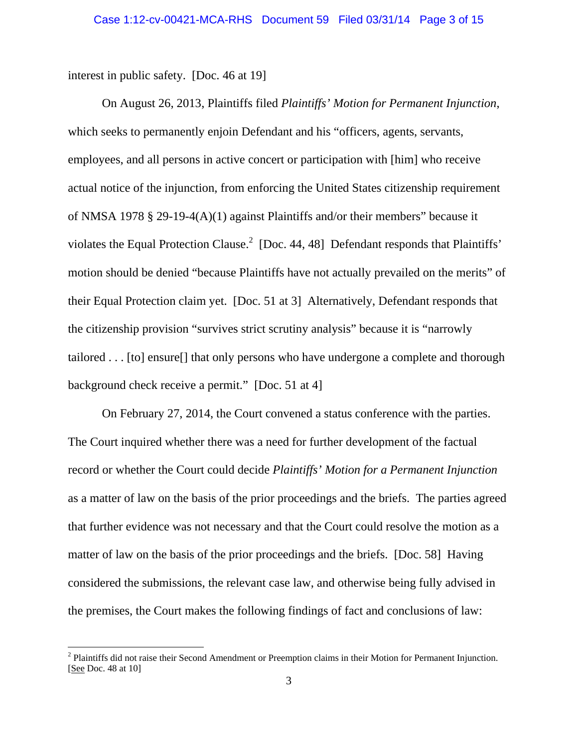interest in public safety. [Doc. 46 at 19]

 $\overline{a}$ 

 On August 26, 2013, Plaintiffs filed *Plaintiffs' Motion for Permanent Injunction*, which seeks to permanently enjoin Defendant and his "officers, agents, servants, employees, and all persons in active concert or participation with [him] who receive actual notice of the injunction, from enforcing the United States citizenship requirement of NMSA 1978 § 29-19-4(A)(1) against Plaintiffs and/or their members" because it violates the Equal Protection Clause.<sup>2</sup> [Doc. 44, 48] Defendant responds that Plaintiffs' motion should be denied "because Plaintiffs have not actually prevailed on the merits" of their Equal Protection claim yet. [Doc. 51 at 3] Alternatively, Defendant responds that the citizenship provision "survives strict scrutiny analysis" because it is "narrowly tailored . . . [to] ensure[] that only persons who have undergone a complete and thorough background check receive a permit." [Doc. 51 at 4]

 On February 27, 2014, the Court convened a status conference with the parties. The Court inquired whether there was a need for further development of the factual record or whether the Court could decide *Plaintiffs' Motion for a Permanent Injunction*  as a matter of law on the basis of the prior proceedings and the briefs. The parties agreed that further evidence was not necessary and that the Court could resolve the motion as a matter of law on the basis of the prior proceedings and the briefs. [Doc. 58] Having considered the submissions, the relevant case law, and otherwise being fully advised in the premises, the Court makes the following findings of fact and conclusions of law:

 $2$  Plaintiffs did not raise their Second Amendment or Preemption claims in their Motion for Permanent Injunction. [See Doc. 48 at 10]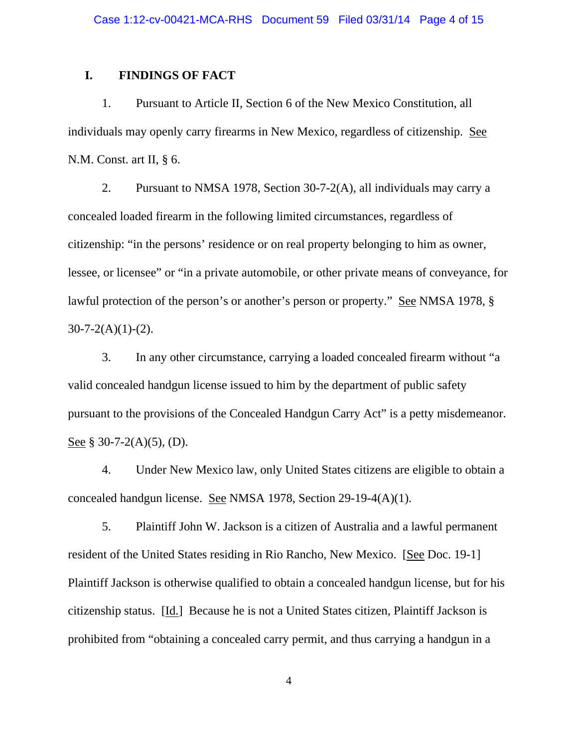## **I. FINDINGS OF FACT**

 1. Pursuant to Article II, Section 6 of the New Mexico Constitution, all individuals may openly carry firearms in New Mexico, regardless of citizenship. See N.M. Const. art II, § 6.

 2. Pursuant to NMSA 1978, Section 30-7-2(A), all individuals may carry a concealed loaded firearm in the following limited circumstances, regardless of citizenship: "in the persons' residence or on real property belonging to him as owner, lessee, or licensee" or "in a private automobile, or other private means of conveyance, for lawful protection of the person's or another's person or property." See NMSA 1978, §  $30 - 7 - 2(A)(1) - (2)$ .

 3. In any other circumstance, carrying a loaded concealed firearm without "a valid concealed handgun license issued to him by the department of public safety pursuant to the provisions of the Concealed Handgun Carry Act" is a petty misdemeanor. See § 30-7-2(A)(5), (D).

 4. Under New Mexico law, only United States citizens are eligible to obtain a concealed handgun license. See NMSA 1978, Section 29-19-4(A)(1).

 5. Plaintiff John W. Jackson is a citizen of Australia and a lawful permanent resident of the United States residing in Rio Rancho, New Mexico. [See Doc. 19-1] Plaintiff Jackson is otherwise qualified to obtain a concealed handgun license, but for his citizenship status. [Id.] Because he is not a United States citizen, Plaintiff Jackson is prohibited from "obtaining a concealed carry permit, and thus carrying a handgun in a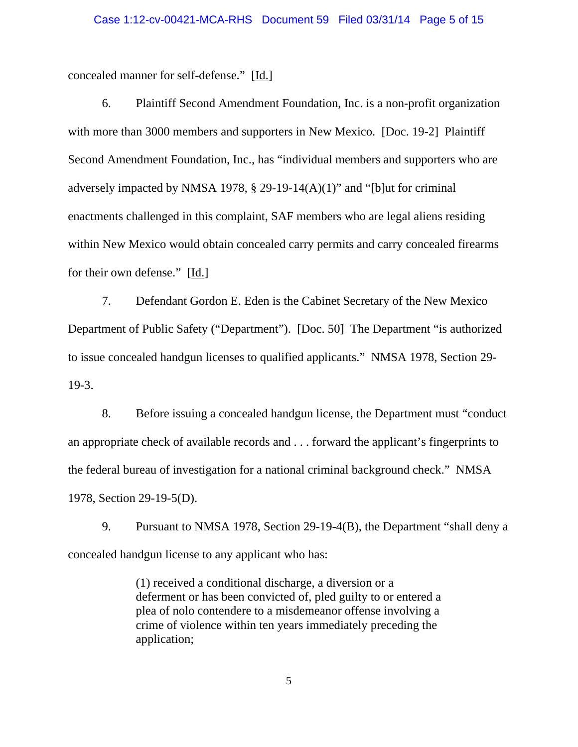concealed manner for self-defense." [Id.]

 6. Plaintiff Second Amendment Foundation, Inc. is a non-profit organization with more than 3000 members and supporters in New Mexico. [Doc. 19-2] Plaintiff Second Amendment Foundation, Inc., has "individual members and supporters who are adversely impacted by NMSA 1978,  $\S$  29-19-14(A)(1)" and "[b]ut for criminal enactments challenged in this complaint, SAF members who are legal aliens residing within New Mexico would obtain concealed carry permits and carry concealed firearms for their own defense." [Id.]

 7. Defendant Gordon E. Eden is the Cabinet Secretary of the New Mexico Department of Public Safety ("Department"). [Doc. 50] The Department "is authorized to issue concealed handgun licenses to qualified applicants." NMSA 1978, Section 29- 19-3.

 8. Before issuing a concealed handgun license, the Department must "conduct an appropriate check of available records and . . . forward the applicant's fingerprints to the federal bureau of investigation for a national criminal background check." NMSA 1978, Section 29-19-5(D).

 9. Pursuant to NMSA 1978, Section 29-19-4(B), the Department "shall deny a concealed handgun license to any applicant who has:

> (1) received a conditional discharge, a diversion or a deferment or has been convicted of, pled guilty to or entered a plea of nolo contendere to a misdemeanor offense involving a crime of violence within ten years immediately preceding the application;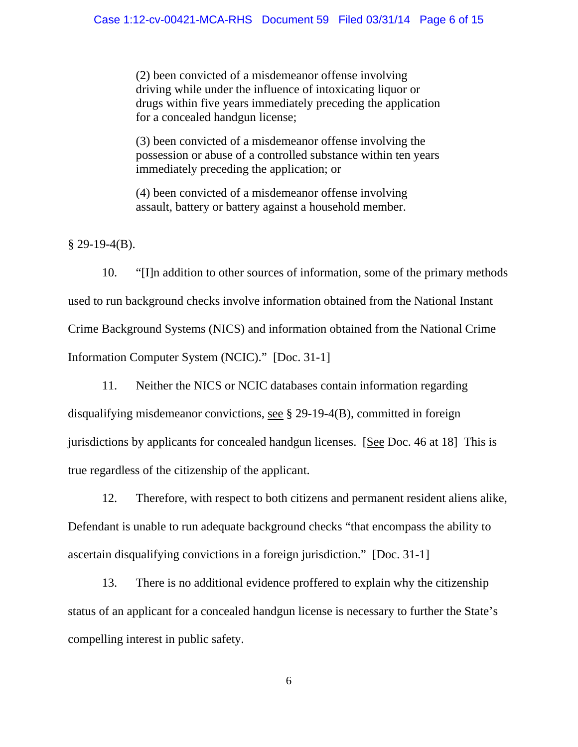(2) been convicted of a misdemeanor offense involving driving while under the influence of intoxicating liquor or drugs within five years immediately preceding the application for a concealed handgun license;

(3) been convicted of a misdemeanor offense involving the possession or abuse of a controlled substance within ten years immediately preceding the application; or

(4) been convicted of a misdemeanor offense involving assault, battery or battery against a household member.

 $§$  29-19-4(B).

 10. "[I]n addition to other sources of information, some of the primary methods used to run background checks involve information obtained from the National Instant Crime Background Systems (NICS) and information obtained from the National Crime Information Computer System (NCIC)." [Doc. 31-1]

 11. Neither the NICS or NCIC databases contain information regarding disqualifying misdemeanor convictions, see § 29-19-4(B), committed in foreign jurisdictions by applicants for concealed handgun licenses. [See Doc. 46 at 18] This is true regardless of the citizenship of the applicant.

 12. Therefore, with respect to both citizens and permanent resident aliens alike, Defendant is unable to run adequate background checks "that encompass the ability to ascertain disqualifying convictions in a foreign jurisdiction." [Doc. 31-1]

 13. There is no additional evidence proffered to explain why the citizenship status of an applicant for a concealed handgun license is necessary to further the State's compelling interest in public safety.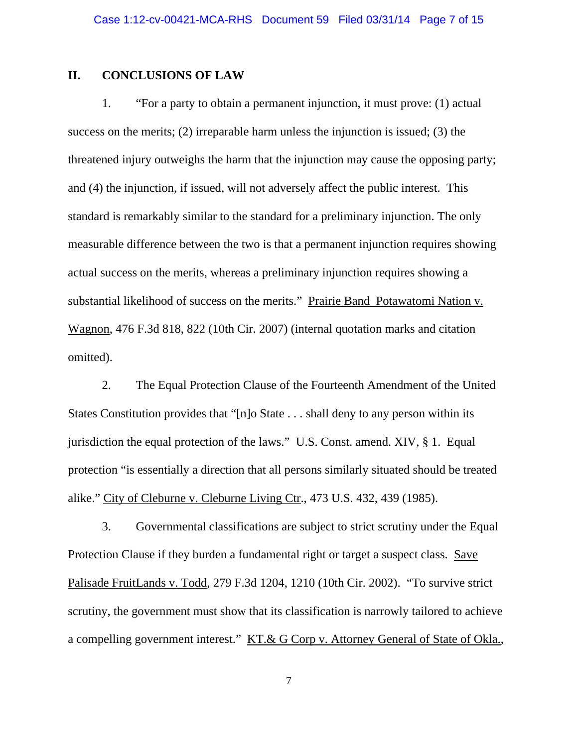## **II. CONCLUSIONS OF LAW**

 1. "For a party to obtain a permanent injunction, it must prove: (1) actual success on the merits; (2) irreparable harm unless the injunction is issued; (3) the threatened injury outweighs the harm that the injunction may cause the opposing party; and (4) the injunction, if issued, will not adversely affect the public interest. This standard is remarkably similar to the standard for a preliminary injunction. The only measurable difference between the two is that a permanent injunction requires showing actual success on the merits, whereas a preliminary injunction requires showing a substantial likelihood of success on the merits." Prairie Band Potawatomi Nation v. Wagnon, 476 F.3d 818, 822 (10th Cir. 2007) (internal quotation marks and citation omitted).

 2. The Equal Protection Clause of the Fourteenth Amendment of the United States Constitution provides that "[n]o State . . . shall deny to any person within its jurisdiction the equal protection of the laws." U.S. Const. amend. XIV, § 1. Equal protection "is essentially a direction that all persons similarly situated should be treated alike." City of Cleburne v. Cleburne Living Ctr., 473 U.S. 432, 439 (1985).

 3. Governmental classifications are subject to strict scrutiny under the Equal Protection Clause if they burden a fundamental right or target a suspect class. Save Palisade FruitLands v. Todd, 279 F.3d 1204, 1210 (10th Cir. 2002). "To survive strict scrutiny, the government must show that its classification is narrowly tailored to achieve a compelling government interest." KT.& G Corp v. Attorney General of State of Okla.,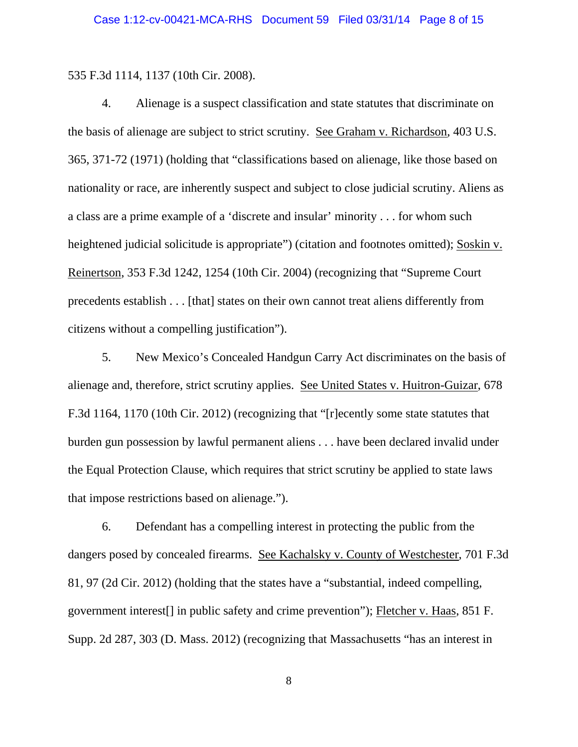535 F.3d 1114, 1137 (10th Cir. 2008).

 4. Alienage is a suspect classification and state statutes that discriminate on the basis of alienage are subject to strict scrutiny. See Graham v. Richardson, 403 U.S. 365, 371-72 (1971) (holding that "classifications based on alienage, like those based on nationality or race, are inherently suspect and subject to close judicial scrutiny. Aliens as a class are a prime example of a 'discrete and insular' minority . . . for whom such heightened judicial solicitude is appropriate") (citation and footnotes omitted); Soskin v. Reinertson, 353 F.3d 1242, 1254 (10th Cir. 2004) (recognizing that "Supreme Court precedents establish . . . [that] states on their own cannot treat aliens differently from citizens without a compelling justification").

 5. New Mexico's Concealed Handgun Carry Act discriminates on the basis of alienage and, therefore, strict scrutiny applies. See United States v. Huitron-Guizar, 678 F.3d 1164, 1170 (10th Cir. 2012) (recognizing that "[r]ecently some state statutes that burden gun possession by lawful permanent aliens . . . have been declared invalid under the Equal Protection Clause, which requires that strict scrutiny be applied to state laws that impose restrictions based on alienage.").

 6. Defendant has a compelling interest in protecting the public from the dangers posed by concealed firearms. See Kachalsky v. County of Westchester, 701 F.3d 81, 97 (2d Cir. 2012) (holding that the states have a "substantial, indeed compelling, government interest[] in public safety and crime prevention"); Fletcher v. Haas, 851 F. Supp. 2d 287, 303 (D. Mass. 2012) (recognizing that Massachusetts "has an interest in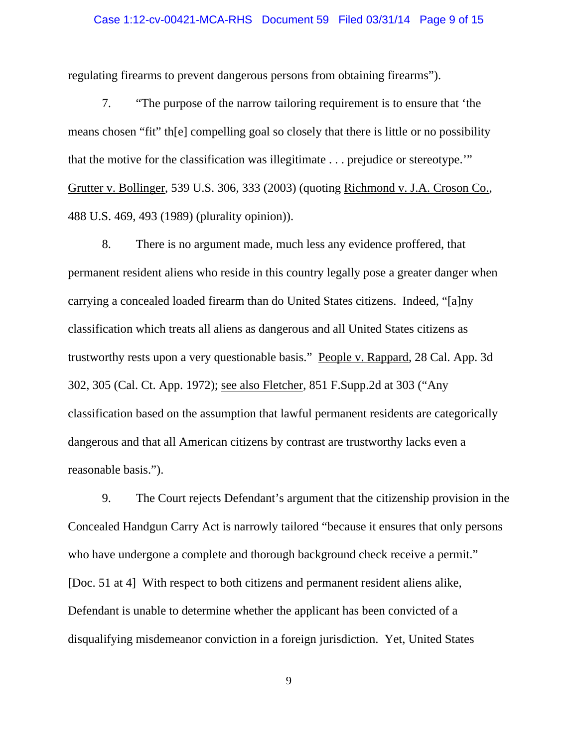## Case 1:12-cv-00421-MCA-RHS Document 59 Filed 03/31/14 Page 9 of 15

regulating firearms to prevent dangerous persons from obtaining firearms").

 7. "The purpose of the narrow tailoring requirement is to ensure that 'the means chosen "fit" th[e] compelling goal so closely that there is little or no possibility that the motive for the classification was illegitimate . . . prejudice or stereotype.'" Grutter v. Bollinger, 539 U.S. 306, 333 (2003) (quoting Richmond v. J.A. Croson Co., 488 U.S. 469, 493 (1989) (plurality opinion)).

 8. There is no argument made, much less any evidence proffered, that permanent resident aliens who reside in this country legally pose a greater danger when carrying a concealed loaded firearm than do United States citizens. Indeed, "[a]ny classification which treats all aliens as dangerous and all United States citizens as trustworthy rests upon a very questionable basis." People v. Rappard, 28 Cal. App. 3d 302, 305 (Cal. Ct. App. 1972); see also Fletcher, 851 F.Supp.2d at 303 ("Any classification based on the assumption that lawful permanent residents are categorically dangerous and that all American citizens by contrast are trustworthy lacks even a reasonable basis.").

 9. The Court rejects Defendant's argument that the citizenship provision in the Concealed Handgun Carry Act is narrowly tailored "because it ensures that only persons who have undergone a complete and thorough background check receive a permit." [Doc. 51 at 4] With respect to both citizens and permanent resident aliens alike, Defendant is unable to determine whether the applicant has been convicted of a disqualifying misdemeanor conviction in a foreign jurisdiction. Yet, United States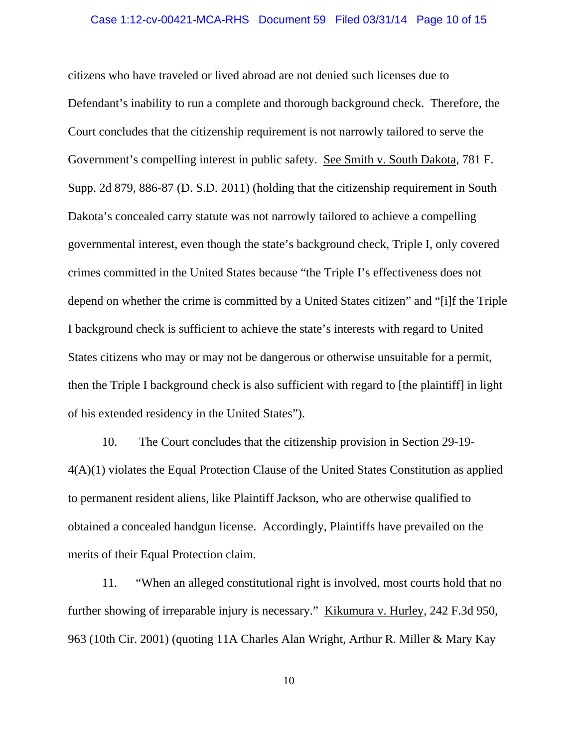## Case 1:12-cv-00421-MCA-RHS Document 59 Filed 03/31/14 Page 10 of 15

citizens who have traveled or lived abroad are not denied such licenses due to Defendant's inability to run a complete and thorough background check. Therefore, the Court concludes that the citizenship requirement is not narrowly tailored to serve the Government's compelling interest in public safety. See Smith v. South Dakota, 781 F. Supp. 2d 879, 886-87 (D. S.D. 2011) (holding that the citizenship requirement in South Dakota's concealed carry statute was not narrowly tailored to achieve a compelling governmental interest, even though the state's background check, Triple I, only covered crimes committed in the United States because "the Triple I's effectiveness does not depend on whether the crime is committed by a United States citizen" and "[i]f the Triple I background check is sufficient to achieve the state's interests with regard to United States citizens who may or may not be dangerous or otherwise unsuitable for a permit, then the Triple I background check is also sufficient with regard to [the plaintiff] in light of his extended residency in the United States").

 10. The Court concludes that the citizenship provision in Section 29-19- 4(A)(1) violates the Equal Protection Clause of the United States Constitution as applied to permanent resident aliens, like Plaintiff Jackson, who are otherwise qualified to obtained a concealed handgun license. Accordingly, Plaintiffs have prevailed on the merits of their Equal Protection claim.

11. "When an alleged constitutional right is involved, most courts hold that no further showing of irreparable injury is necessary." Kikumura v. Hurley, 242 F.3d 950, 963 (10th Cir. 2001) (quoting 11A Charles Alan Wright, Arthur R. Miller & Mary Kay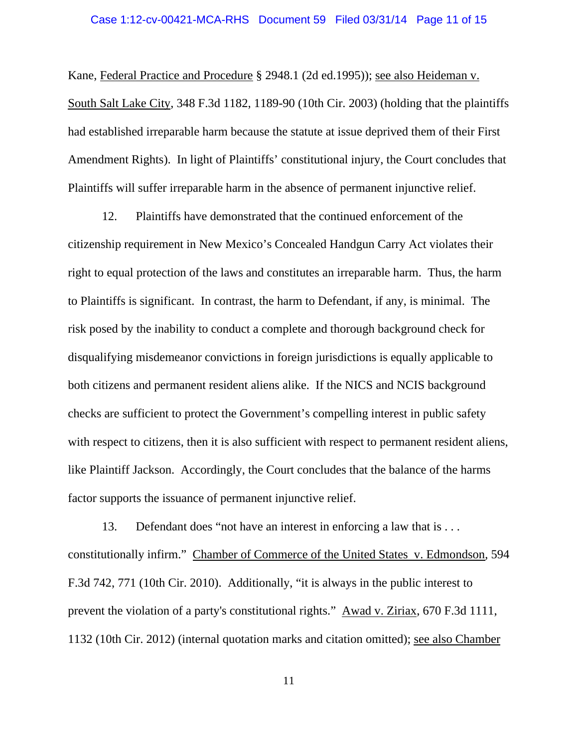## Case 1:12-cv-00421-MCA-RHS Document 59 Filed 03/31/14 Page 11 of 15

Kane, Federal Practice and Procedure § 2948.1 (2d ed.1995)); see also Heideman v. South Salt Lake City, 348 F.3d 1182, 1189-90 (10th Cir. 2003) (holding that the plaintiffs had established irreparable harm because the statute at issue deprived them of their First Amendment Rights). In light of Plaintiffs' constitutional injury, the Court concludes that Plaintiffs will suffer irreparable harm in the absence of permanent injunctive relief.

12. Plaintiffs have demonstrated that the continued enforcement of the citizenship requirement in New Mexico's Concealed Handgun Carry Act violates their right to equal protection of the laws and constitutes an irreparable harm. Thus, the harm to Plaintiffs is significant. In contrast, the harm to Defendant, if any, is minimal. The risk posed by the inability to conduct a complete and thorough background check for disqualifying misdemeanor convictions in foreign jurisdictions is equally applicable to both citizens and permanent resident aliens alike. If the NICS and NCIS background checks are sufficient to protect the Government's compelling interest in public safety with respect to citizens, then it is also sufficient with respect to permanent resident aliens, like Plaintiff Jackson. Accordingly, the Court concludes that the balance of the harms factor supports the issuance of permanent injunctive relief.

13. Defendant does "not have an interest in enforcing a law that is . . . constitutionally infirm." Chamber of Commerce of the United States v. Edmondson, 594 F.3d 742, 771 (10th Cir. 2010). Additionally, "it is always in the public interest to prevent the violation of a party's constitutional rights." Awad v. Ziriax, 670 F.3d 1111, 1132 (10th Cir. 2012) (internal quotation marks and citation omitted); see also Chamber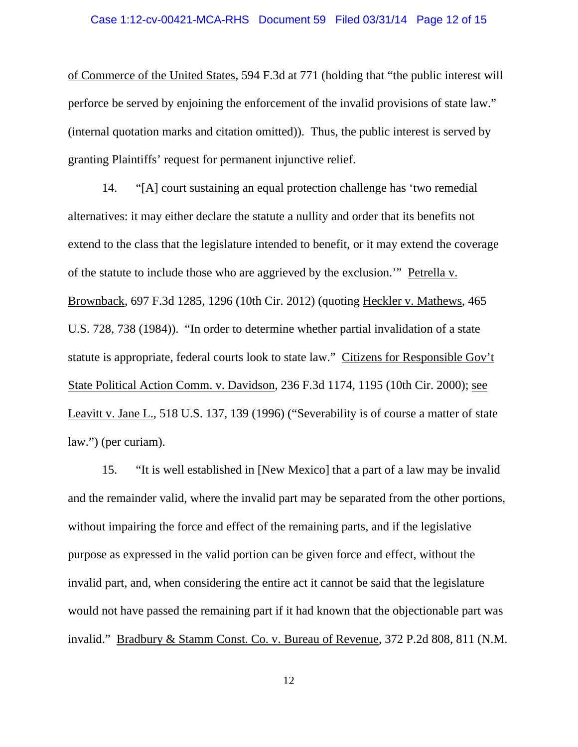of Commerce of the United States, 594 F.3d at 771 (holding that "the public interest will perforce be served by enjoining the enforcement of the invalid provisions of state law." (internal quotation marks and citation omitted)). Thus, the public interest is served by granting Plaintiffs' request for permanent injunctive relief.

14. "[A] court sustaining an equal protection challenge has 'two remedial alternatives: it may either declare the statute a nullity and order that its benefits not extend to the class that the legislature intended to benefit, or it may extend the coverage of the statute to include those who are aggrieved by the exclusion.'" Petrella v. Brownback, 697 F.3d 1285, 1296 (10th Cir. 2012) (quoting Heckler v. Mathews, 465 U.S. 728, 738 (1984)). "In order to determine whether partial invalidation of a state statute is appropriate, federal courts look to state law." Citizens for Responsible Gov't State Political Action Comm. v. Davidson, 236 F.3d 1174, 1195 (10th Cir. 2000); see Leavitt v. Jane L., 518 U.S. 137, 139 (1996) ("Severability is of course a matter of state law.") (per curiam).

15. "It is well established in [New Mexico] that a part of a law may be invalid and the remainder valid, where the invalid part may be separated from the other portions, without impairing the force and effect of the remaining parts, and if the legislative purpose as expressed in the valid portion can be given force and effect, without the invalid part, and, when considering the entire act it cannot be said that the legislature would not have passed the remaining part if it had known that the objectionable part was invalid." Bradbury & Stamm Const. Co. v. Bureau of Revenue, 372 P.2d 808, 811 (N.M.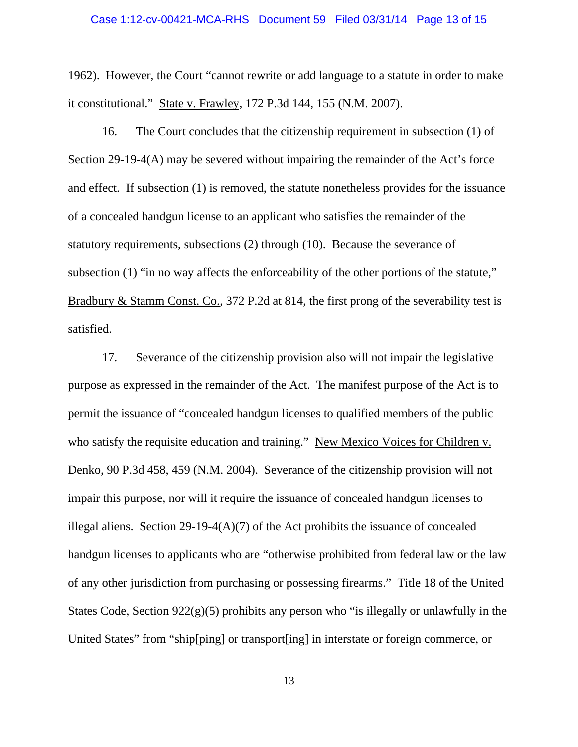## Case 1:12-cv-00421-MCA-RHS Document 59 Filed 03/31/14 Page 13 of 15

1962). However, the Court "cannot rewrite or add language to a statute in order to make it constitutional." State v. Frawley, 172 P.3d 144, 155 (N.M. 2007).

16. The Court concludes that the citizenship requirement in subsection (1) of Section 29-19-4(A) may be severed without impairing the remainder of the Act's force and effect. If subsection (1) is removed, the statute nonetheless provides for the issuance of a concealed handgun license to an applicant who satisfies the remainder of the statutory requirements, subsections (2) through (10). Because the severance of subsection (1) "in no way affects the enforceability of the other portions of the statute," Bradbury & Stamm Const. Co., 372 P.2d at 814, the first prong of the severability test is satisfied.

17. Severance of the citizenship provision also will not impair the legislative purpose as expressed in the remainder of the Act. The manifest purpose of the Act is to permit the issuance of "concealed handgun licenses to qualified members of the public who satisfy the requisite education and training." New Mexico Voices for Children v. Denko, 90 P.3d 458, 459 (N.M. 2004). Severance of the citizenship provision will not impair this purpose, nor will it require the issuance of concealed handgun licenses to illegal aliens. Section 29-19-4( $A$ )(7) of the Act prohibits the issuance of concealed handgun licenses to applicants who are "otherwise prohibited from federal law or the law of any other jurisdiction from purchasing or possessing firearms." Title 18 of the United States Code, Section  $922(g)(5)$  prohibits any person who "is illegally or unlawfully in the United States" from "ship[ping] or transport[ing] in interstate or foreign commerce, or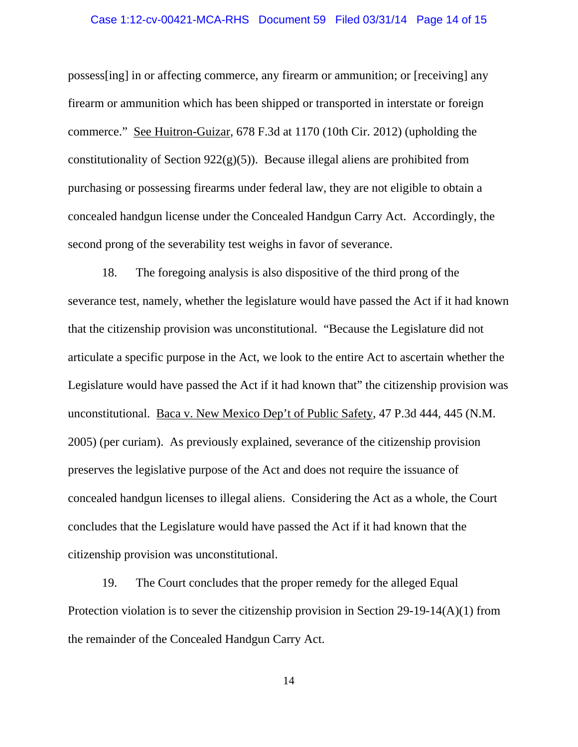## Case 1:12-cv-00421-MCA-RHS Document 59 Filed 03/31/14 Page 14 of 15

possess[ing] in or affecting commerce, any firearm or ammunition; or [receiving] any firearm or ammunition which has been shipped or transported in interstate or foreign commerce." See Huitron-Guizar, 678 F.3d at 1170 (10th Cir. 2012) (upholding the constitutionality of Section  $922(g)(5)$ ). Because illegal aliens are prohibited from purchasing or possessing firearms under federal law, they are not eligible to obtain a concealed handgun license under the Concealed Handgun Carry Act. Accordingly, the second prong of the severability test weighs in favor of severance.

18. The foregoing analysis is also dispositive of the third prong of the severance test, namely, whether the legislature would have passed the Act if it had known that the citizenship provision was unconstitutional. "Because the Legislature did not articulate a specific purpose in the Act, we look to the entire Act to ascertain whether the Legislature would have passed the Act if it had known that" the citizenship provision was unconstitutional. Baca v. New Mexico Dep't of Public Safety, 47 P.3d 444, 445 (N.M. 2005) (per curiam). As previously explained, severance of the citizenship provision preserves the legislative purpose of the Act and does not require the issuance of concealed handgun licenses to illegal aliens. Considering the Act as a whole, the Court concludes that the Legislature would have passed the Act if it had known that the citizenship provision was unconstitutional.

19. The Court concludes that the proper remedy for the alleged Equal Protection violation is to sever the citizenship provision in Section 29-19-14(A)(1) from the remainder of the Concealed Handgun Carry Act.